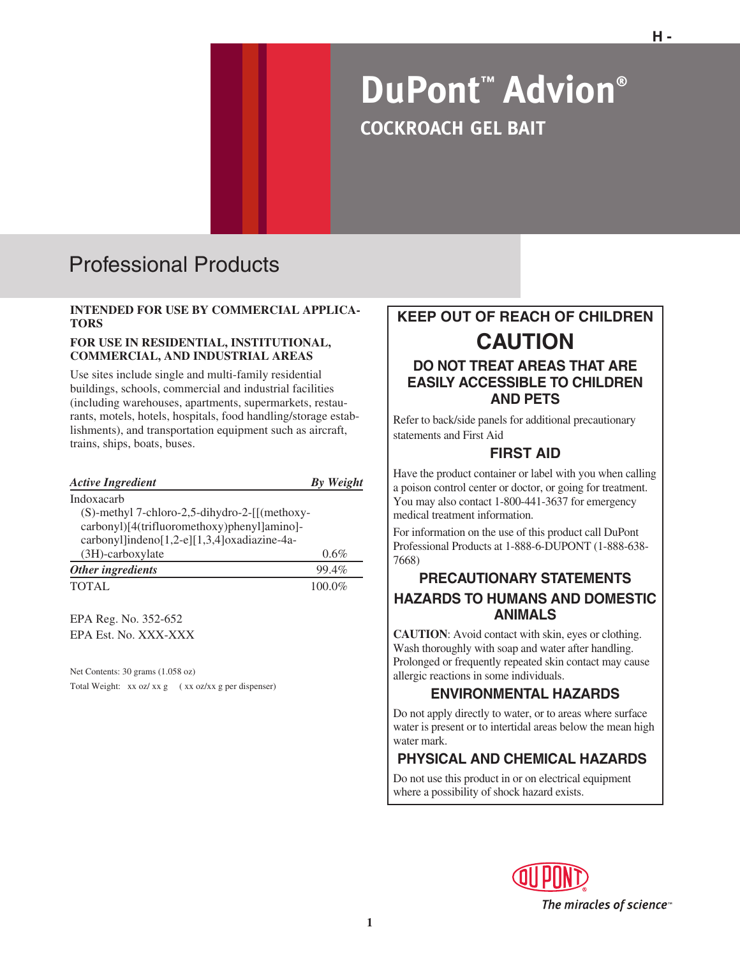# **DuPont™ Advion® COCKROACH GEL BAIT**

# Professional Products

#### **INTENDED FOR USE BY COMMERCIAL APPLICA-TORS**

#### **FOR USE IN RESIDENTIAL, INSTITUTIONAL, COMMERCIAL, AND INDUSTRIAL AREAS**

Use sites include single and multi-family residential buildings, schools, commercial and industrial facilities (including warehouses, apartments, supermarkets, restaurants, motels, hotels, hospitals, food handling/storage establishments), and transportation equipment such as aircraft, trains, ships, boats, buses.

| <b>Active Ingredient</b>                                         | <b>By Weight</b> |
|------------------------------------------------------------------|------------------|
| Indoxacarb                                                       |                  |
| $(S)$ -methyl 7-chloro-2,5-dihydro-2- $\left[ \right]$ (methoxy- |                  |
| carbonyl)[4(trifluoromethoxy)phenyl]amino]-                      |                  |
| carbonyl]indeno[1,2-e][1,3,4]oxadiazine-4a-                      |                  |
| $(3H)$ -carboxylate                                              | 0.6%             |
| Other ingredients                                                | 99.4%            |
| <b>TOTAL</b>                                                     | 100.0%           |
| $\mathbf{m}$ in $\mathbf{r}$                                     |                  |

EPA Reg. No. 352-652 EPA Est. No. XXX-XXX

Net Contents: 30 grams (1.058 oz) Total Weight: xx oz/ xx g ( xx oz/ xx g per dispenser)

# **KEEP OUT OF REACH OF CHILDREN CAUTION**

#### **DO NOT TREAT AREAS THAT ARE EASILY ACCESSIBLE TO CHILDREN AND PETS**

Refer to back/side panels for additional precautionary statements and First Aid

### **FIRST AID**

Have the product container or label with you when calling a poison control center or doctor, or going for treatment. You may also contact 1-800-441-3637 for emergency medical treatment information.

For information on the use of this product call DuPont Professional Products at 1-888-6-DUPONT (1-888-638- 7668)

#### **PRECAUTIONARY STATEMENTS HAZARDS TO HUMANS AND DOMESTIC ANIMALS**

**CAUTION**: Avoid contact with skin, eyes or clothing. Wash thoroughly with soap and water after handling. Prolonged or frequently repeated skin contact may cause allergic reactions in some individuals.

#### **ENVIRONMENTAL HAZARDS**

Do not apply directly to water, or to areas where surface water is present or to intertidal areas below the mean high water mark.

## **PHYSICAL AND CHEMICAL HAZARDS**

Do not use this product in or on electrical equipment where a possibility of shock hazard exists.

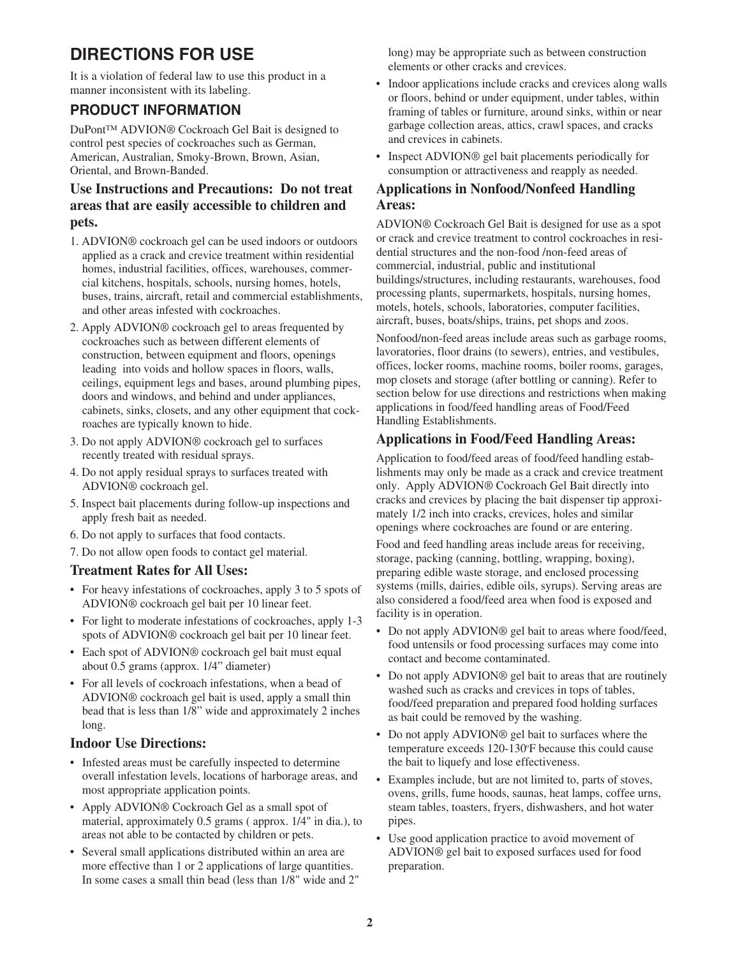# **DIRECTIONS FOR USE**

It is a violation of federal law to use this product in a manner inconsistent with its labeling.

#### **PRODUCT INFORMATION**

DuPont™ ADVION® Cockroach Gel Bait is designed to control pest species of cockroaches such as German, American, Australian, Smoky-Brown, Brown, Asian, Oriental, and Brown-Banded.

#### **Use Instructions and Precautions: Do not treat areas that are easily accessible to children and pets.**

- 1. ADVION® cockroach gel can be used indoors or outdoors applied as a crack and crevice treatment within residential homes, industrial facilities, offices, warehouses, commercial kitchens, hospitals, schools, nursing homes, hotels, buses, trains, aircraft, retail and commercial establishments, and other areas infested with cockroaches.
- 2. Apply ADVION® cockroach gel to areas frequented by cockroaches such as between different elements of construction, between equipment and floors, openings leading into voids and hollow spaces in floors, walls, ceilings, equipment legs and bases, around plumbing pipes, doors and windows, and behind and under appliances, cabinets, sinks, closets, and any other equipment that cockroaches are typically known to hide.
- 3. Do not apply ADVION® cockroach gel to surfaces recently treated with residual sprays.
- 4. Do not apply residual sprays to surfaces treated with ADVION® cockroach gel.
- 5. Inspect bait placements during follow-up inspections and apply fresh bait as needed.
- 6. Do not apply to surfaces that food contacts.
- 7. Do not allow open foods to contact gel material.

#### **Treatment Rates for All Uses:**

- For heavy infestations of cockroaches, apply 3 to 5 spots of ADVION® cockroach gel bait per 10 linear feet.
- For light to moderate infestations of cockroaches, apply 1-3 spots of ADVION® cockroach gel bait per 10 linear feet.
- Each spot of ADVION® cockroach gel bait must equal about 0.5 grams (approx. 1/4" diameter)
- For all levels of cockroach infestations, when a bead of ADVION® cockroach gel bait is used, apply a small thin bead that is less than 1/8" wide and approximately 2 inches long.

#### **Indoor Use Directions:**

- Infested areas must be carefully inspected to determine overall infestation levels, locations of harborage areas, and most appropriate application points.
- Apply ADVION® Cockroach Gel as a small spot of material, approximately 0.5 grams ( approx. 1/4" in dia.), to areas not able to be contacted by children or pets.
- Several small applications distributed within an area are more effective than 1 or 2 applications of large quantities. In some cases a small thin bead (less than 1/8" wide and 2"

long) may be appropriate such as between construction elements or other cracks and crevices.

- Indoor applications include cracks and crevices along walls or floors, behind or under equipment, under tables, within framing of tables or furniture, around sinks, within or near garbage collection areas, attics, crawl spaces, and cracks and crevices in cabinets.
- Inspect ADVION® gel bait placements periodically for consumption or attractiveness and reapply as needed.

#### **Applications in Nonfood/Nonfeed Handling Areas:**

ADVION® Cockroach Gel Bait is designed for use as a spot or crack and crevice treatment to control cockroaches in residential structures and the non-food /non-feed areas of commercial, industrial, public and institutional buildings/structures, including restaurants, warehouses, food processing plants, supermarkets, hospitals, nursing homes, motels, hotels, schools, laboratories, computer facilities, aircraft, buses, boats/ships, trains, pet shops and zoos.

Nonfood/non-feed areas include areas such as garbage rooms, lavoratories, floor drains (to sewers), entries, and vestibules, offices, locker rooms, machine rooms, boiler rooms, garages, mop closets and storage (after bottling or canning). Refer to section below for use directions and restrictions when making applications in food/feed handling areas of Food/Feed Handling Establishments.

#### **Applications in Food/Feed Handling Areas:**

Application to food/feed areas of food/feed handling establishments may only be made as a crack and crevice treatment only. Apply ADVION® Cockroach Gel Bait directly into cracks and crevices by placing the bait dispenser tip approximately 1/2 inch into cracks, crevices, holes and similar openings where cockroaches are found or are entering.

Food and feed handling areas include areas for receiving, storage, packing (canning, bottling, wrapping, boxing), preparing edible waste storage, and enclosed processing systems (mills, dairies, edible oils, syrups). Serving areas are also considered a food/feed area when food is exposed and facility is in operation.

- Do not apply ADVION® gel bait to areas where food/feed, food untensils or food processing surfaces may come into contact and become contaminated.
- Do not apply ADVION® gel bait to areas that are routinely washed such as cracks and crevices in tops of tables, food/feed preparation and prepared food holding surfaces as bait could be removed by the washing.
- Do not apply ADVION® gel bait to surfaces where the temperature exceeds 120-130°F because this could cause the bait to liquefy and lose effectiveness.
- Examples include, but are not limited to, parts of stoves, ovens, grills, fume hoods, saunas, heat lamps, coffee urns, steam tables, toasters, fryers, dishwashers, and hot water pipes.
- Use good application practice to avoid movement of ADVION® gel bait to exposed surfaces used for food preparation.